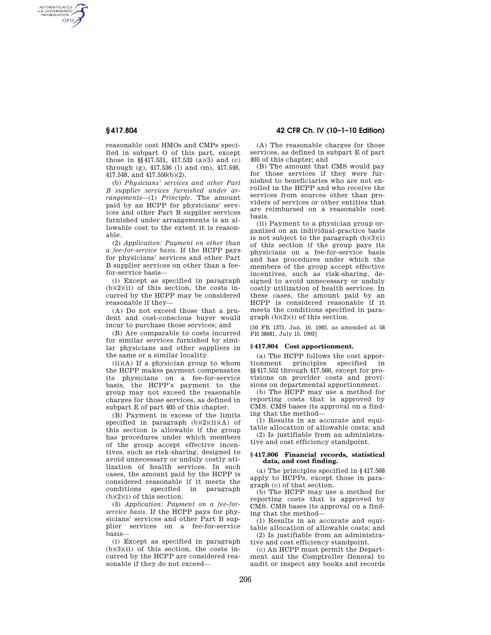AUTHENTICATED<br>U.S. GOVERNMENT<br>INFORMATION **GPO** 

> reasonable cost HMOs and CMPs specified in subpart O of this part, except those in §§417.531, 417.532 (a)(3) and (c) through (g), 417.536 (l) and (m), 417.546, 417.548, and 417.550(b)(2).

> (b) *Physicians' services and other Part B supplier services furnished under arrangements*—(1) *Principle.* The amount paid by an HCPP for physicians' services and other Part B supplier services furnished under arrangements is an allowable cost to the extent it is reasonable.

> (2) *Application: Payment on other than a fee-for-service basis.* If the HCPP pays for physicians' services and other Part B supplier services on other than a feefor-service basis—

> (i) Except as specified in paragraph  $(b)(2)(ii)$  of this section, the costs incurred by the HCPP may be considered reasonable if they—

> (A) Do not exceed those that a prudent and cost-conscious buyer would incur to purchase those services; and

> (B) Are comparable to costs incurred for similar services furnished by similar physicians and other suppliers in the same or a similar locality.

> $(ii)(A)$  If a physician group to whom the HCPP makes payment compensates its physicians on a fee-for-service basis, the HCPP's payment to the group may not exceed the reasonable charges for those services, as defined in subpart E of part 405 of this chapter.

> (B) Payment in excess of the limits specified in paragraph  $(b)(2)(ii)(A)$  of this section is allowable if the group has procedures under which members of the group accept effective incentives, such as risk-sharing, designed to avoid unnecessary or unduly costly utilization of health services. In such cases, the amount paid by the HCPP is considered reasonable if it meets the conditions specified in paragraph  $(b)(2)(i)$  of this section.

> (3) *Application: Payment on a fee-forservice basis.* If the HCPP pays for physicians' services and other Part B supplier services on a fee-for-service basis—

> (i) Except as specified in paragraph  $(b)(3)(ii)$  of this section, the costs incurred by the HCPP are considered reasonable if they do not exceed—

**§ 417.804 42 CFR Ch. IV (10–1–10 Edition)** 

(A) The reasonable charges for those services, as defined in subpart E of part 405 of this chapter; and

(B) The amount that CMS would pay for those services if they were furnished to beneficiaries who are not enrolled in the HCPP and who receive the services from sources other than providers of services or other entities that are reimbursed on a reasonable cost basis.

(ii) Payment to a physician group organized on an individual-practice basis is not subject to the paragraph  $(b)(3)(i)$ of this section if the group pays its physicians on a fee-for-service basis and has procedures under which the members of the group accept effective incentives, such as risk-sharing, designed to avoid unnecessary or unduly costly utilization of health services. In these cases, the amount paid by an HCPP is considered reasonable if it meets the conditions specified in paragraph (b)(2)(i) of this section.

[50 FR 1375, Jan. 10, 1985, as amended at 58 FR 38081, July 15, 1993]

## **§ 417.804 Cost apportionment.**

(a) The HCPP follows the cost apportionment principles specified in §§417.552 through 417.566, except for provisions on provider costs and provisions on departmental apportionment.

(b) The HCPP may use a method for reporting costs that is approved by CMS. CMS bases its approval on a finding that the method—

(1) Results in an accurate and equitable allocation of allowable costs; and

(2) Is justifiable from an administrative and cost efficiency standpoint.

# **§ 417.806 Financial records, statistical data, and cost finding.**

(a) The principles specified in §417.568 apply to HCPPs, except those in paragraph (c) of that section.

(b) The HCPP may use a method for reporting costs that is approved by CMS. CMS bases its approval on a finding that the method—

(1) Results in an accurate and equitable allocation of allowable costs; and

(2) Is justifiable from an administrative and cost efficiency standpoint.

(c) An HCPP must permit the Department and the Comptroller General to audit or inspect any books and records